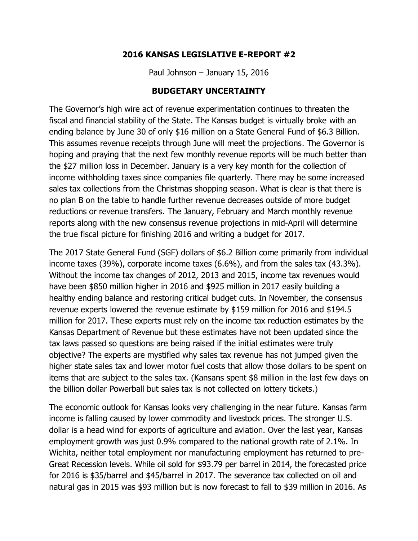### **2016 KANSAS LEGISLATIVE E-REPORT #2**

Paul Johnson – January 15, 2016

### **BUDGETARY UNCERTAINTY**

The Governor's high wire act of revenue experimentation continues to threaten the fiscal and financial stability of the State. The Kansas budget is virtually broke with an ending balance by June 30 of only \$16 million on a State General Fund of \$6.3 Billion. This assumes revenue receipts through June will meet the projections. The Governor is hoping and praying that the next few monthly revenue reports will be much better than the \$27 million loss in December. January is a very key month for the collection of income withholding taxes since companies file quarterly. There may be some increased sales tax collections from the Christmas shopping season. What is clear is that there is no plan B on the table to handle further revenue decreases outside of more budget reductions or revenue transfers. The January, February and March monthly revenue reports along with the new consensus revenue projections in mid-April will determine the true fiscal picture for finishing 2016 and writing a budget for 2017.

The 2017 State General Fund (SGF) dollars of \$6.2 Billion come primarily from individual income taxes (39%), corporate income taxes (6.6%), and from the sales tax (43.3%). Without the income tax changes of 2012, 2013 and 2015, income tax revenues would have been \$850 million higher in 2016 and \$925 million in 2017 easily building a healthy ending balance and restoring critical budget cuts. In November, the consensus revenue experts lowered the revenue estimate by \$159 million for 2016 and \$194.5 million for 2017. These experts must rely on the income tax reduction estimates by the Kansas Department of Revenue but these estimates have not been updated since the tax laws passed so questions are being raised if the initial estimates were truly objective? The experts are mystified why sales tax revenue has not jumped given the higher state sales tax and lower motor fuel costs that allow those dollars to be spent on items that are subject to the sales tax. (Kansans spent \$8 million in the last few days on the billion dollar Powerball but sales tax is not collected on lottery tickets.)

The economic outlook for Kansas looks very challenging in the near future. Kansas farm income is falling caused by lower commodity and livestock prices. The stronger U.S. dollar is a head wind for exports of agriculture and aviation. Over the last year, Kansas employment growth was just 0.9% compared to the national growth rate of 2.1%. In Wichita, neither total employment nor manufacturing employment has returned to pre-Great Recession levels. While oil sold for \$93.79 per barrel in 2014, the forecasted price for 2016 is \$35/barrel and \$45/barrel in 2017. The severance tax collected on oil and natural gas in 2015 was \$93 million but is now forecast to fall to \$39 million in 2016. As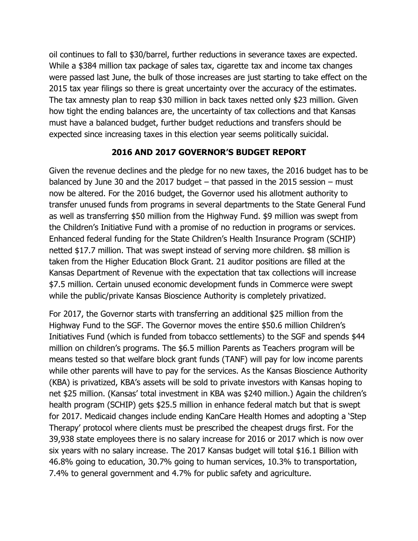oil continues to fall to \$30/barrel, further reductions in severance taxes are expected. While a \$384 million tax package of sales tax, cigarette tax and income tax changes were passed last June, the bulk of those increases are just starting to take effect on the 2015 tax year filings so there is great uncertainty over the accuracy of the estimates. The tax amnesty plan to reap \$30 million in back taxes netted only \$23 million. Given how tight the ending balances are, the uncertainty of tax collections and that Kansas must have a balanced budget, further budget reductions and transfers should be expected since increasing taxes in this election year seems politically suicidal.

## **2016 AND 2017 GOVERNOR'S BUDGET REPORT**

Given the revenue declines and the pledge for no new taxes, the 2016 budget has to be balanced by June 30 and the 2017 budget – that passed in the 2015 session – must now be altered. For the 2016 budget, the Governor used his allotment authority to transfer unused funds from programs in several departments to the State General Fund as well as transferring \$50 million from the Highway Fund. \$9 million was swept from the Children's Initiative Fund with a promise of no reduction in programs or services. Enhanced federal funding for the State Children's Health Insurance Program (SCHIP) netted \$17.7 million. That was swept instead of serving more children. \$8 million is taken from the Higher Education Block Grant. 21 auditor positions are filled at the Kansas Department of Revenue with the expectation that tax collections will increase \$7.5 million. Certain unused economic development funds in Commerce were swept while the public/private Kansas Bioscience Authority is completely privatized.

For 2017, the Governor starts with transferring an additional \$25 million from the Highway Fund to the SGF. The Governor moves the entire \$50.6 million Children's Initiatives Fund (which is funded from tobacco settlements) to the SGF and spends \$44 million on children's programs. The \$6.5 million Parents as Teachers program will be means tested so that welfare block grant funds (TANF) will pay for low income parents while other parents will have to pay for the services. As the Kansas Bioscience Authority (KBA) is privatized, KBA's assets will be sold to private investors with Kansas hoping to net \$25 million. (Kansas' total investment in KBA was \$240 million.) Again the children's health program (SCHIP) gets \$25.5 million in enhance federal match but that is swept for 2017. Medicaid changes include ending KanCare Health Homes and adopting a 'Step Therapy' protocol where clients must be prescribed the cheapest drugs first. For the 39,938 state employees there is no salary increase for 2016 or 2017 which is now over six years with no salary increase. The 2017 Kansas budget will total \$16.1 Billion with 46.8% going to education, 30.7% going to human services, 10.3% to transportation, 7.4% to general government and 4.7% for public safety and agriculture.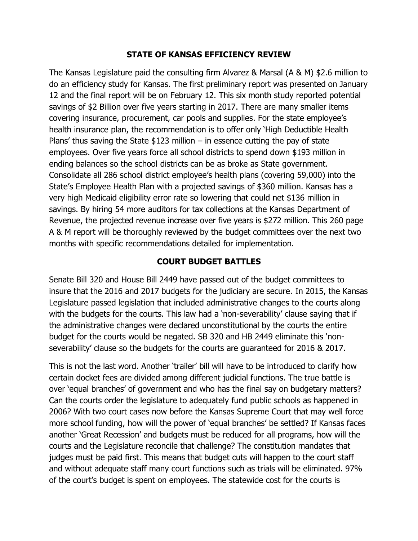### **STATE OF KANSAS EFFICIENCY REVIEW**

The Kansas Legislature paid the consulting firm Alvarez & Marsal (A & M) \$2.6 million to do an efficiency study for Kansas. The first preliminary report was presented on January 12 and the final report will be on February 12. This six month study reported potential savings of \$2 Billion over five years starting in 2017. There are many smaller items covering insurance, procurement, car pools and supplies. For the state employee's health insurance plan, the recommendation is to offer only 'High Deductible Health Plans' thus saving the State  $$123$  million – in essence cutting the pay of state employees. Over five years force all school districts to spend down \$193 million in ending balances so the school districts can be as broke as State government. Consolidate all 286 school district employee's health plans (covering 59,000) into the State's Employee Health Plan with a projected savings of \$360 million. Kansas has a very high Medicaid eligibility error rate so lowering that could net \$136 million in savings. By hiring 54 more auditors for tax collections at the Kansas Department of Revenue, the projected revenue increase over five years is \$272 million. This 260 page A & M report will be thoroughly reviewed by the budget committees over the next two months with specific recommendations detailed for implementation.

## **COURT BUDGET BATTLES**

Senate Bill 320 and House Bill 2449 have passed out of the budget committees to insure that the 2016 and 2017 budgets for the judiciary are secure. In 2015, the Kansas Legislature passed legislation that included administrative changes to the courts along with the budgets for the courts. This law had a 'non-severability' clause saying that if the administrative changes were declared unconstitutional by the courts the entire budget for the courts would be negated. SB 320 and HB 2449 eliminate this 'nonseverability' clause so the budgets for the courts are guaranteed for 2016 & 2017.

This is not the last word. Another 'trailer' bill will have to be introduced to clarify how certain docket fees are divided among different judicial functions. The true battle is over 'equal branches' of government and who has the final say on budgetary matters? Can the courts order the legislature to adequately fund public schools as happened in 2006? With two court cases now before the Kansas Supreme Court that may well force more school funding, how will the power of 'equal branches' be settled? If Kansas faces another 'Great Recession' and budgets must be reduced for all programs, how will the courts and the Legislature reconcile that challenge? The constitution mandates that judges must be paid first. This means that budget cuts will happen to the court staff and without adequate staff many court functions such as trials will be eliminated. 97% of the court's budget is spent on employees. The statewide cost for the courts is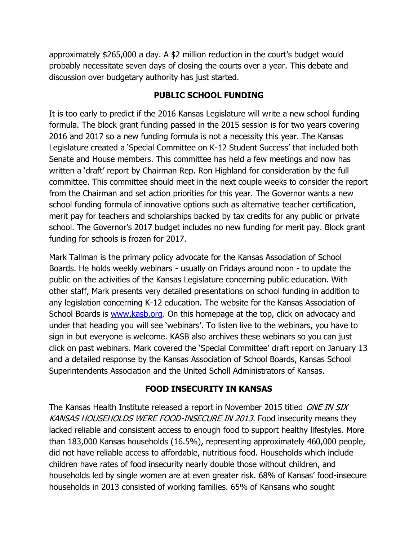approximately \$265,000 a day. A \$2 million reduction in the court's budget would probably necessitate seven days of closing the courts over a year. This debate and discussion over budgetary authority has just started.

# **PUBLIC SCHOOL FUNDING**

It is too early to predict if the 2016 Kansas Legislature will write a new school funding formula. The block grant funding passed in the 2015 session is for two years covering 2016 and 2017 so a new funding formula is not a necessity this year. The Kansas Legislature created a 'Special Committee on K-12 Student Success' that included both Senate and House members. This committee has held a few meetings and now has written a 'draft' report by Chairman Rep. Ron Highland for consideration by the full committee. This committee should meet in the next couple weeks to consider the report from the Chairman and set action priorities for this year. The Governor wants a new school funding formula of innovative options such as alternative teacher certification, merit pay for teachers and scholarships backed by tax credits for any public or private school. The Governor's 2017 budget includes no new funding for merit pay. Block grant funding for schools is frozen for 2017.

Mark Tallman is the primary policy advocate for the Kansas Association of School Boards. He holds weekly webinars - usually on Fridays around noon - to update the public on the activities of the Kansas Legislature concerning public education. With other staff, Mark presents very detailed presentations on school funding in addition to any legislation concerning K-12 education. The website for the Kansas Association of School Boards is [www.kasb.org.](http://www.kasb.org/) On this homepage at the top, click on advocacy and under that heading you will see 'webinars'. To listen live to the webinars, you have to sign in but everyone is welcome. KASB also archives these webinars so you can just click on past webinars. Mark covered the 'Special Committee' draft report on January 13 and a detailed response by the Kansas Association of School Boards, Kansas School Superintendents Association and the United Scholl Administrators of Kansas.

# **FOOD INSECURITY IN KANSAS**

The Kansas Health Institute released a report in November 2015 titled ONE IN SIX KANSAS HOUSEHOLDS WERE FOOD-INSECURE IN 2013. Food insecurity means they lacked reliable and consistent access to enough food to support healthy lifestyles. More than 183,000 Kansas households (16.5%), representing approximately 460,000 people, did not have reliable access to affordable, nutritious food. Households which include children have rates of food insecurity nearly double those without children, and households led by single women are at even greater risk. 68% of Kansas' food-insecure households in 2013 consisted of working families. 65% of Kansans who sought